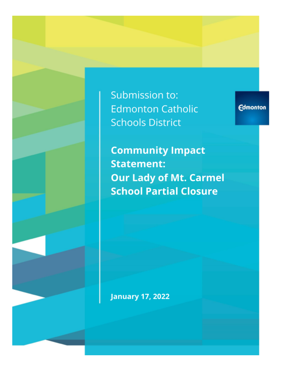Submission to: **Edmonton Catholic Schools District** 

**Edmonton** 

**Community Impact Statement: Our Lady of Mt. Carmel School Partial Closure** 

**January 17, 2022**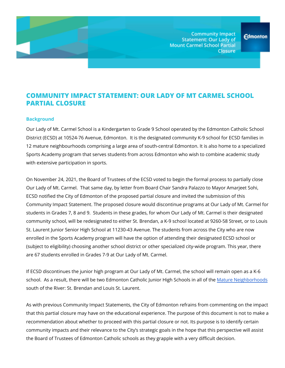**Community Impact Statement: Our Lady of Mount Carmel School Partial Closure** 

## **COMMUNITY IMPACT STATEMENT: OUR LADY OF MT CARMEL SCHOOL PARTIAL CLOSURE**

#### **Background**

Our Lady of Mt. Carmel School is a Kindergarten to Grade 9 School operated by the Edmonton Catholic School District (ECSD) at 10524-76 Avenue, Edmonton. It is the designated community K-9 school for ECSD families in 12 mature neighbourhoods comprising a large area of south-central Edmonton. It is also home to a specialized Sports Academy program that serves students from across Edmonton who wish to combine academic study with extensive participation in sports.

On November 24, 2021, the Board of Trustees of the ECSD voted to begin the formal process to partially close Our Lady of Mt. Carmel. That same day, by letter from Board Chair Sandra Palazzo to Mayor Amarjeet Sohi, ECSD notified the City of Edmonton of the proposed partial closure and invited the submission of this Community Impact Statement. The proposed closure would discontinue programs at Our Lady of Mt. Carmel for students in Grades 7, 8 and 9. Students in these grades, for whom Our Lady of Mt. Carmel is their designated community school, will be redesignated to either St. Brendan, a K-9 school located at 9260-58 Street, or to Louis St. Laurent Junior Senior High School at 11230-43 Avenue. The students from across the City who are now enrolled in the Sports Academy program will have the option of attending their designated ECSD school or (subject to eligibility) choosing another school district or other specialized city-wide program. This year, there are 67 students enrolled in Grades 7-9 at Our Lady of Mt. Carmel.

If ECSD discontinues the junior high program at Our Lady of Mt. Carmel, the school will remain open as a K-6 school. As a result, there will be two Edmonton Catholic Junior High Schools in all of the Mature [Neighborhoods](https://www.edmonton.ca/sites/default/files/public-files/assets/PDF/MNOMap_Blue.pdf?cb=1641335136) south of the River: St. Brendan and Louis St. Laurent.

As with previous Community Impact Statements, the City of Edmonton refrains from commenting on the impact that this partial closure may have on the educational experience. The purpose of this document is not to make a recommendation about whether to proceed with this partial closure or not. Its purpose is to identify certain community impacts and their relevance to the City's strategic goals in the hope that this perspective will assist the Board of Trustees of Edmonton Catholic schools as they grapple with a very difficult decision.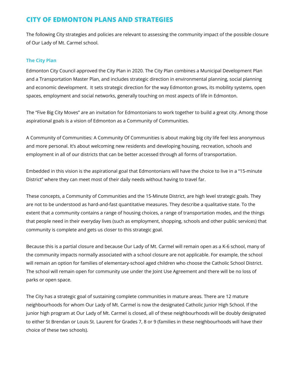# **CITY OF EDMONTON PLANS AND STRATEGIES**

The following City strategies and policies are relevant to assessing the community impact of the possible closure of Our Lady of Mt. Carmel school.

### **The City Plan**

Edmonton City Council approved the City Plan in 2020. The City Plan combines a Municipal Development Plan and a Transportation Master Plan, and includes strategic direction in environmental planning, social planning and economic development. It sets strategic direction for the way Edmonton grows, its mobility systems, open spaces, employment and social networks, generally touching on most aspects of life in Edmonton.

The "Five Big City Moves" are an invitation for Edmontonians to work together to build a great city. Among those aspirational goals is a vision of Edmonton as a Community of Communities.

A Community of Communities: A Community Of Communities is about making big city life feel less anonymous and more personal. It's about welcoming new residents and developing housing, recreation, schools and employment in all of our districts that can be better accessed through all forms of transportation.

Embedded in this vision is the aspirational goal that Edmontonians will have the choice to live in a "15-minute District" where they can meet most of their daily needs without having to travel far.

These concepts, a Community of Communities and the 15-Minute District, are high level strategic goals. They are not to be understood as hard-and-fast quantitative measures. They describe a qualitative state. To the extent that a community contains a range of housing choices, a range of transportation modes, and the things that people need in their everyday lives (such as employment, shopping, schools and other public services) that community is complete and gets us closer to this strategic goal.

Because this is a partial closure and because Our Lady of Mt. Carmel will remain open as a K-6 school, many of the community impacts normally associated with a school closure are not applicable. For example, the school will remain an option for families of elementary-school aged children who choose the Catholic School District. The school will remain open for community use under the Joint Use Agreement and there will be no loss of parks or open space.

The City has a strategic goal of sustaining complete communities in mature areas. There are 12 mature neighbourhoods for whom Our Lady of Mt. Carmel is now the designated Catholic Junior High School. If the junior high program at Our Lady of Mt. Carmel is closed, all of these neighbourhoods will be doubly designated to either St Brendan or Louis St. Laurent for Grades 7, 8 or 9 (families in these neighbourhoods will have their choice of these two schools).